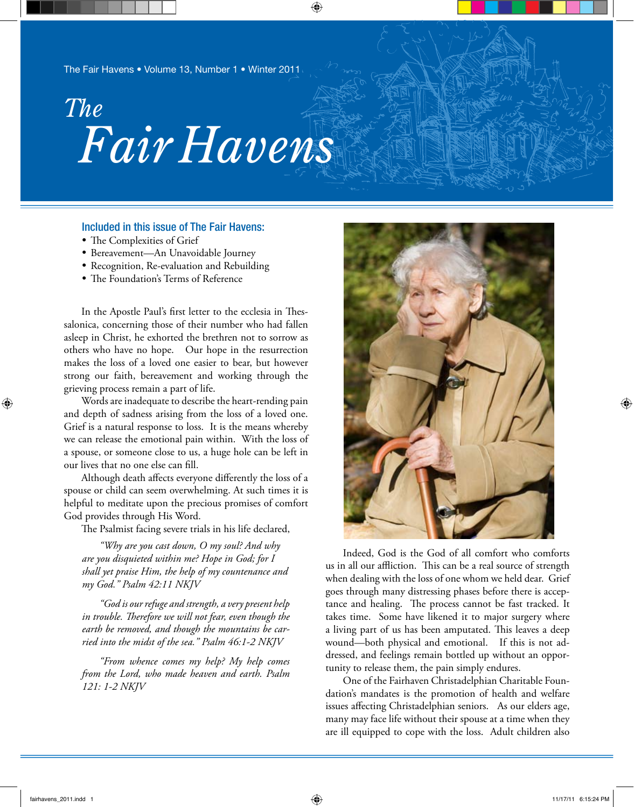# *Fair Havens The*

### Included in this issue of The Fair Havens:

- The Complexities of Grief
- • Bereavement—An Unavoidable Journey
- Recognition, Re-evaluation and Rebuilding
- The Foundation's Terms of Reference

In the Apostle Paul's first letter to the ecclesia in Thessalonica, concerning those of their number who had fallen asleep in Christ, he exhorted the brethren not to sorrow as others who have no hope. Our hope in the resurrection makes the loss of a loved one easier to bear, but however strong our faith, bereavement and working through the grieving process remain a part of life.

Words are inadequate to describe the heart-rending pain and depth of sadness arising from the loss of a loved one. Grief is a natural response to loss. It is the means whereby we can release the emotional pain within. With the loss of a spouse, or someone close to us, a huge hole can be left in our lives that no one else can fill.

Although death affects everyone differently the loss of a spouse or child can seem overwhelming. At such times it is helpful to meditate upon the precious promises of comfort God provides through His Word.

The Psalmist facing severe trials in his life declared,

*"Why are you cast down, O my soul? And why are you disquieted within me? Hope in God; for I shall yet praise Him, the help of my countenance and my God." Psalm 42:11 NKJV*

*"God is our refuge and strength, a very present help in trouble. Therefore we will not fear, even though the earth be removed, and though the mountains be carried into the midst of the sea." Psalm 46:1-2 NKJV*

*"From whence comes my help? My help comes from the Lord, who made heaven and earth. Psalm 121: 1-2 NKJV*



Indeed, God is the God of all comfort who comforts us in all our affliction. This can be a real source of strength when dealing with the loss of one whom we held dear. Grief goes through many distressing phases before there is acceptance and healing. The process cannot be fast tracked. It takes time. Some have likened it to major surgery where a living part of us has been amputated. This leaves a deep wound—both physical and emotional. If this is not addressed, and feelings remain bottled up without an opportunity to release them, the pain simply endures.

One of the Fairhaven Christadelphian Charitable Foundation's mandates is the promotion of health and welfare issues affecting Christadelphian seniors. As our elders age, many may face life without their spouse at a time when they are ill equipped to cope with the loss. Adult children also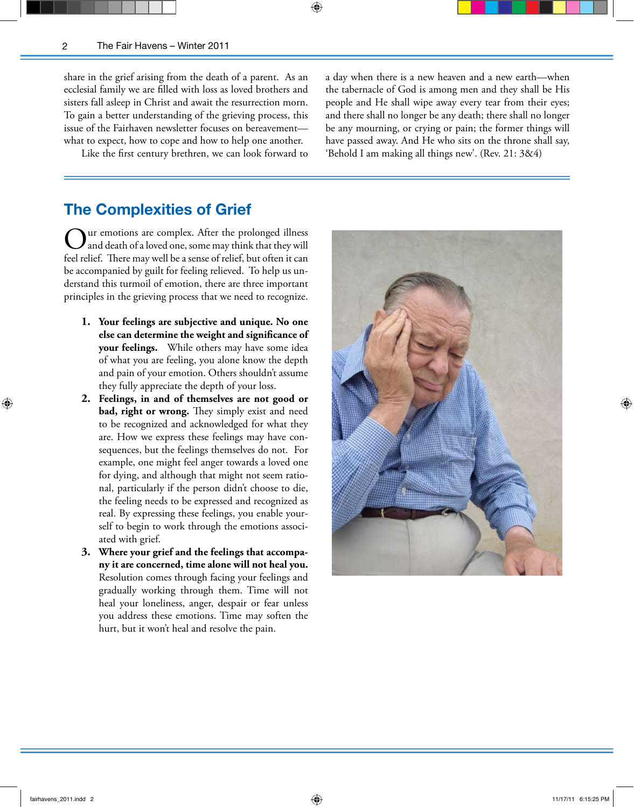⊕

share in the grief arising from the death of a parent. As an ecclesial family we are filled with loss as loved brothers and sisters fall asleep in Christ and await the resurrection morn. To gain a better understanding of the grieving process, this issue of the Fairhaven newsletter focuses on bereavement what to expect, how to cope and how to help one another.

Like the first century brethren, we can look forward to

a day when there is a new heaven and a new earth—when the tabernacle of God is among men and they shall be His people and He shall wipe away every tear from their eyes; and there shall no longer be any death; there shall no longer be any mourning, or crying or pain; the former things will have passed away. And He who sits on the throne shall say, 'Behold I am making all things new'. (Rev. 21: 3&4)

## **The Complexities of Grief**

are emotions are complex. After the prolonged illness and death of a loved one, some may think that they will feel relief. There may well be a sense of relief, but often it can be accompanied by guilt for feeling relieved. To help us understand this turmoil of emotion, there are three important principles in the grieving process that we need to recognize.

- **1. Your feelings are subjective and unique. No one else can determine the weight and significance of your feelings.** While others may have some idea of what you are feeling, you alone know the depth and pain of your emotion. Others shouldn't assume they fully appreciate the depth of your loss.
- **2. Feelings, in and of themselves are not good or bad, right or wrong.** They simply exist and need to be recognized and acknowledged for what they are. How we express these feelings may have consequences, but the feelings themselves do not. For example, one might feel anger towards a loved one for dying, and although that might not seem rational, particularly if the person didn't choose to die, the feeling needs to be expressed and recognized as real. By expressing these feelings, you enable yourself to begin to work through the emotions associated with grief.
- **3. Where your grief and the feelings that accompany it are concerned, time alone will not heal you.** Resolution comes through facing your feelings and gradually working through them. Time will not heal your loneliness, anger, despair or fear unless you address these emotions. Time may soften the hurt, but it won't heal and resolve the pain.

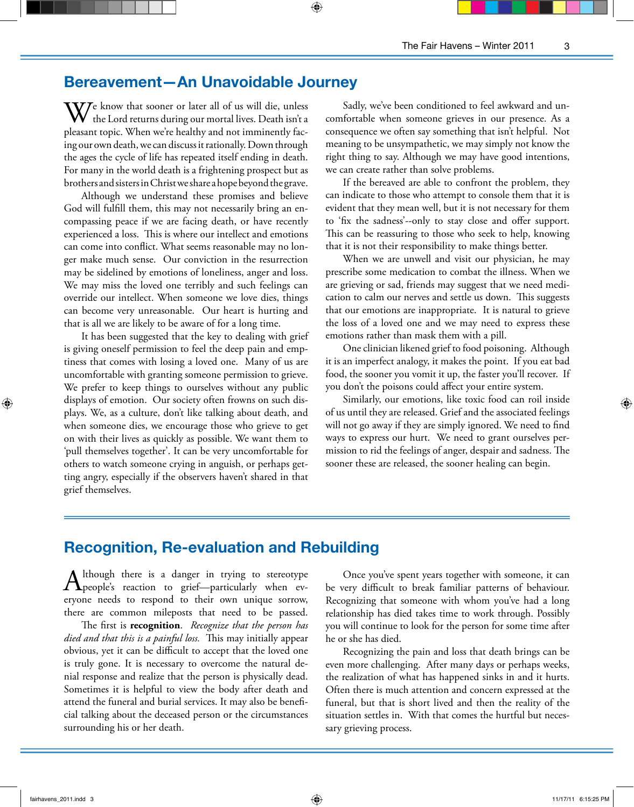# **Bereavement—An Unavoidable Journey**

⊕

 $\mathbf{V}$ Ze know that sooner or later all of us will die, unless  ${\mathbf V}\;$  the Lord returns during our mortal lives. Death isn't a pleasant topic. When we're healthy and not imminently facing our own death, we can discuss it rationally. Down through the ages the cycle of life has repeated itself ending in death. For many in the world death is a frightening prospect but as brothers and sisters in Christ we share a hope beyond the grave.

Although we understand these promises and believe God will fulfill them, this may not necessarily bring an encompassing peace if we are facing death, or have recently experienced a loss. This is where our intellect and emotions can come into conflict. What seems reasonable may no longer make much sense. Our conviction in the resurrection may be sidelined by emotions of loneliness, anger and loss. We may miss the loved one terribly and such feelings can override our intellect. When someone we love dies, things can become very unreasonable. Our heart is hurting and that is all we are likely to be aware of for a long time.

It has been suggested that the key to dealing with grief is giving oneself permission to feel the deep pain and emptiness that comes with losing a loved one. Many of us are uncomfortable with granting someone permission to grieve. We prefer to keep things to ourselves without any public displays of emotion. Our society often frowns on such displays. We, as a culture, don't like talking about death, and when someone dies, we encourage those who grieve to get on with their lives as quickly as possible. We want them to 'pull themselves together'. It can be very uncomfortable for others to watch someone crying in anguish, or perhaps getting angry, especially if the observers haven't shared in that grief themselves.

Sadly, we've been conditioned to feel awkward and uncomfortable when someone grieves in our presence. As a consequence we often say something that isn't helpful. Not meaning to be unsympathetic, we may simply not know the right thing to say. Although we may have good intentions, we can create rather than solve problems.

If the bereaved are able to confront the problem, they can indicate to those who attempt to console them that it is evident that they mean well, but it is not necessary for them to 'fix the sadness'--only to stay close and offer support. This can be reassuring to those who seek to help, knowing that it is not their responsibility to make things better.

When we are unwell and visit our physician, he may prescribe some medication to combat the illness. When we are grieving or sad, friends may suggest that we need medication to calm our nerves and settle us down. This suggests that our emotions are inappropriate. It is natural to grieve the loss of a loved one and we may need to express these emotions rather than mask them with a pill.

One clinician likened grief to food poisoning. Although it is an imperfect analogy, it makes the point. If you eat bad food, the sooner you vomit it up, the faster you'll recover. If you don't the poisons could affect your entire system.

Similarly, our emotions, like toxic food can roil inside of us until they are released. Grief and the associated feelings will not go away if they are simply ignored. We need to find ways to express our hurt. We need to grant ourselves permission to rid the feelings of anger, despair and sadness. The sooner these are released, the sooner healing can begin.

# **Recognition, Re-evaluation and Rebuilding**

Although there is a danger in trying to stereotype<br>people's reaction to grief—particularly when everyone needs to respond to their own unique sorrow, there are common mileposts that need to be passed.

The first is **recognition**. *Recognize that the person has died and that this is a painful loss.* This may initially appear obvious, yet it can be difficult to accept that the loved one is truly gone. It is necessary to overcome the natural denial response and realize that the person is physically dead. Sometimes it is helpful to view the body after death and attend the funeral and burial services. It may also be beneficial talking about the deceased person or the circumstances surrounding his or her death.

Once you've spent years together with someone, it can be very difficult to break familiar patterns of behaviour. Recognizing that someone with whom you've had a long relationship has died takes time to work through. Possibly you will continue to look for the person for some time after he or she has died.

Recognizing the pain and loss that death brings can be even more challenging. After many days or perhaps weeks, the realization of what has happened sinks in and it hurts. Often there is much attention and concern expressed at the funeral, but that is short lived and then the reality of the situation settles in. With that comes the hurtful but necessary grieving process.

⊕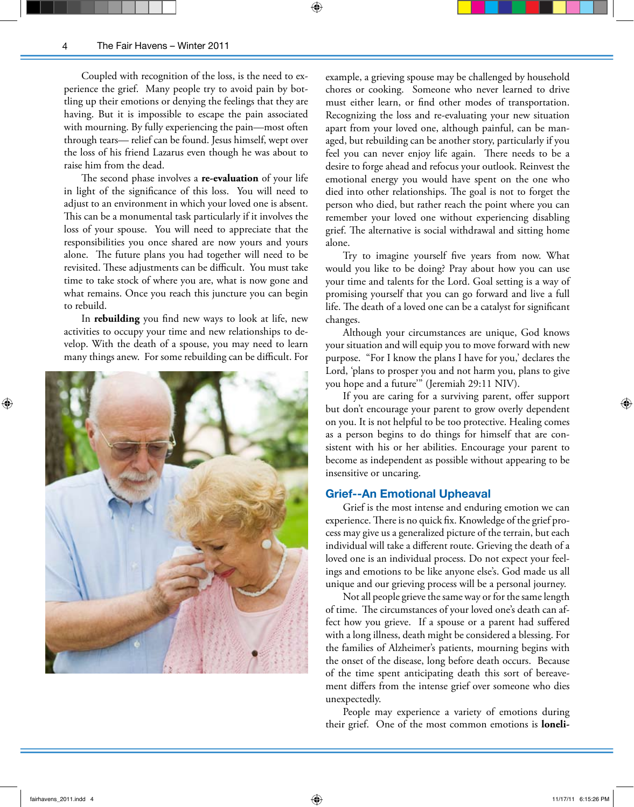Coupled with recognition of the loss, is the need to experience the grief. Many people try to avoid pain by bottling up their emotions or denying the feelings that they are having. But it is impossible to escape the pain associated with mourning. By fully experiencing the pain—most often through tears— relief can be found. Jesus himself, wept over the loss of his friend Lazarus even though he was about to raise him from the dead.

The second phase involves a **re-evaluation** of your life in light of the significance of this loss. You will need to adjust to an environment in which your loved one is absent. This can be a monumental task particularly if it involves the loss of your spouse. You will need to appreciate that the responsibilities you once shared are now yours and yours alone. The future plans you had together will need to be revisited. These adjustments can be difficult. You must take time to take stock of where you are, what is now gone and what remains. Once you reach this juncture you can begin to rebuild.

In **rebuilding** you find new ways to look at life, new activities to occupy your time and new relationships to develop. With the death of a spouse, you may need to learn many things anew. For some rebuilding can be difficult. For



example, a grieving spouse may be challenged by household chores or cooking. Someone who never learned to drive must either learn, or find other modes of transportation. Recognizing the loss and re-evaluating your new situation apart from your loved one, although painful, can be managed, but rebuilding can be another story, particularly if you feel you can never enjoy life again. There needs to be a desire to forge ahead and refocus your outlook. Reinvest the emotional energy you would have spent on the one who died into other relationships. The goal is not to forget the person who died, but rather reach the point where you can remember your loved one without experiencing disabling grief. The alternative is social withdrawal and sitting home alone.

Try to imagine yourself five years from now. What would you like to be doing? Pray about how you can use your time and talents for the Lord. Goal setting is a way of promising yourself that you can go forward and live a full life. The death of a loved one can be a catalyst for significant changes.

Although your circumstances are unique, God knows your situation and will equip you to move forward with new purpose. "For I know the plans I have for you,' declares the Lord, 'plans to prosper you and not harm you, plans to give you hope and a future'" (Jeremiah 29:11 NIV).

If you are caring for a surviving parent, offer support but don't encourage your parent to grow overly dependent on you. It is not helpful to be too protective. Healing comes as a person begins to do things for himself that are consistent with his or her abilities. Encourage your parent to become as independent as possible without appearing to be insensitive or uncaring.

#### **Grief--An Emotional Upheaval**

Grief is the most intense and enduring emotion we can experience. There is no quick fix. Knowledge of the grief process may give us a generalized picture of the terrain, but each individual will take a different route. Grieving the death of a loved one is an individual process. Do not expect your feelings and emotions to be like anyone else's. God made us all unique and our grieving process will be a personal journey.

Not all people grieve the same way or for the same length of time. The circumstances of your loved one's death can affect how you grieve. If a spouse or a parent had suffered with a long illness, death might be considered a blessing. For the families of Alzheimer's patients, mourning begins with the onset of the disease, long before death occurs. Because of the time spent anticipating death this sort of bereavement differs from the intense grief over someone who dies unexpectedly.

People may experience a variety of emotions during their grief. One of the most common emotions is **loneli-**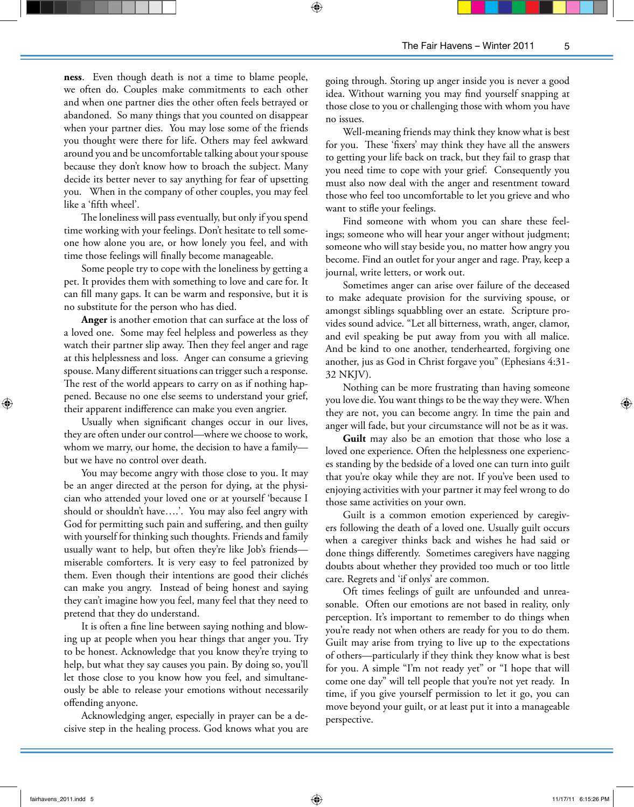**ness**. Even though death is not a time to blame people, we often do. Couples make commitments to each other and when one partner dies the other often feels betrayed or abandoned. So many things that you counted on disappear when your partner dies. You may lose some of the friends you thought were there for life. Others may feel awkward around you and be uncomfortable talking about your spouse because they don't know how to broach the subject. Many decide its better never to say anything for fear of upsetting you. When in the company of other couples, you may feel like a 'fifth wheel'.

The loneliness will pass eventually, but only if you spend time working with your feelings. Don't hesitate to tell someone how alone you are, or how lonely you feel, and with time those feelings will finally become manageable.

Some people try to cope with the loneliness by getting a pet. It provides them with something to love and care for. It can fill many gaps. It can be warm and responsive, but it is no substitute for the person who has died.

**Anger** is another emotion that can surface at the loss of a loved one. Some may feel helpless and powerless as they watch their partner slip away. Then they feel anger and rage at this helplessness and loss. Anger can consume a grieving spouse. Many different situations can trigger such a response. The rest of the world appears to carry on as if nothing happened. Because no one else seems to understand your grief, their apparent indifference can make you even angrier.

Usually when significant changes occur in our lives, they are often under our control—where we choose to work, whom we marry, our home, the decision to have a family but we have no control over death.

You may become angry with those close to you. It may be an anger directed at the person for dying, at the physician who attended your loved one or at yourself 'because I should or shouldn't have….'. You may also feel angry with God for permitting such pain and suffering, and then guilty with yourself for thinking such thoughts. Friends and family usually want to help, but often they're like Job's friends miserable comforters. It is very easy to feel patronized by them. Even though their intentions are good their clichés can make you angry. Instead of being honest and saying they can't imagine how you feel, many feel that they need to pretend that they do understand.

It is often a fine line between saying nothing and blowing up at people when you hear things that anger you. Try to be honest. Acknowledge that you know they're trying to help, but what they say causes you pain. By doing so, you'll let those close to you know how you feel, and simultaneously be able to release your emotions without necessarily offending anyone.

Acknowledging anger, especially in prayer can be a decisive step in the healing process. God knows what you are going through. Storing up anger inside you is never a good idea. Without warning you may find yourself snapping at those close to you or challenging those with whom you have no issues.

Well-meaning friends may think they know what is best for you. These 'fixers' may think they have all the answers to getting your life back on track, but they fail to grasp that you need time to cope with your grief. Consequently you must also now deal with the anger and resentment toward those who feel too uncomfortable to let you grieve and who want to stifle your feelings.

Find someone with whom you can share these feelings; someone who will hear your anger without judgment; someone who will stay beside you, no matter how angry you become. Find an outlet for your anger and rage. Pray, keep a journal, write letters, or work out.

Sometimes anger can arise over failure of the deceased to make adequate provision for the surviving spouse, or amongst siblings squabbling over an estate. Scripture provides sound advice. "Let all bitterness, wrath, anger, clamor, and evil speaking be put away from you with all malice. And be kind to one another, tenderhearted, forgiving one another, jus as God in Christ forgave you" (Ephesians 4:31- 32 NKJV).

Nothing can be more frustrating than having someone you love die. You want things to be the way they were. When they are not, you can become angry. In time the pain and anger will fade, but your circumstance will not be as it was.

Guilt may also be an emotion that those who lose a loved one experience. Often the helplessness one experiences standing by the bedside of a loved one can turn into guilt that you're okay while they are not. If you've been used to enjoying activities with your partner it may feel wrong to do those same activities on your own.

Guilt is a common emotion experienced by caregivers following the death of a loved one. Usually guilt occurs when a caregiver thinks back and wishes he had said or done things differently. Sometimes caregivers have nagging doubts about whether they provided too much or too little care. Regrets and 'if onlys' are common.

Oft times feelings of guilt are unfounded and unreasonable. Often our emotions are not based in reality, only perception. It's important to remember to do things when you're ready not when others are ready for you to do them. Guilt may arise from trying to live up to the expectations of others—particularly if they think they know what is best for you. A simple "I'm not ready yet" or "I hope that will come one day" will tell people that you're not yet ready. In time, if you give yourself permission to let it go, you can move beyond your guilt, or at least put it into a manageable perspective.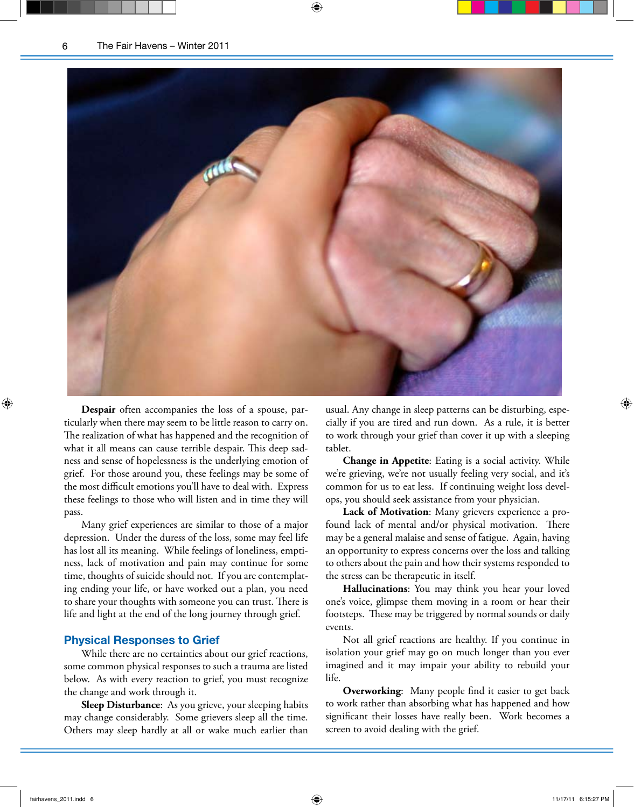

**Despair** often accompanies the loss of a spouse, particularly when there may seem to be little reason to carry on. The realization of what has happened and the recognition of what it all means can cause terrible despair. This deep sadness and sense of hopelessness is the underlying emotion of grief. For those around you, these feelings may be some of the most difficult emotions you'll have to deal with. Express these feelings to those who will listen and in time they will pass.

Many grief experiences are similar to those of a major depression. Under the duress of the loss, some may feel life has lost all its meaning. While feelings of loneliness, emptiness, lack of motivation and pain may continue for some time, thoughts of suicide should not. If you are contemplating ending your life, or have worked out a plan, you need to share your thoughts with someone you can trust. There is life and light at the end of the long journey through grief.

#### **Physical Responses to Grief**

While there are no certainties about our grief reactions, some common physical responses to such a trauma are listed below. As with every reaction to grief, you must recognize the change and work through it.

**Sleep Disturbance**: As you grieve, your sleeping habits may change considerably. Some grievers sleep all the time. Others may sleep hardly at all or wake much earlier than usual. Any change in sleep patterns can be disturbing, especially if you are tired and run down. As a rule, it is better to work through your grief than cover it up with a sleeping tablet.

**Change in Appetite**: Eating is a social activity. While we're grieving, we're not usually feeling very social, and it's common for us to eat less. If continuing weight loss develops, you should seek assistance from your physician.

**Lack of Motivation**: Many grievers experience a profound lack of mental and/or physical motivation. There may be a general malaise and sense of fatigue. Again, having an opportunity to express concerns over the loss and talking to others about the pain and how their systems responded to the stress can be therapeutic in itself.

**Hallucinations**: You may think you hear your loved one's voice, glimpse them moving in a room or hear their footsteps. These may be triggered by normal sounds or daily events.

Not all grief reactions are healthy. If you continue in isolation your grief may go on much longer than you ever imagined and it may impair your ability to rebuild your life.

**Overworking**: Many people find it easier to get back to work rather than absorbing what has happened and how significant their losses have really been. Work becomes a screen to avoid dealing with the grief.

⊕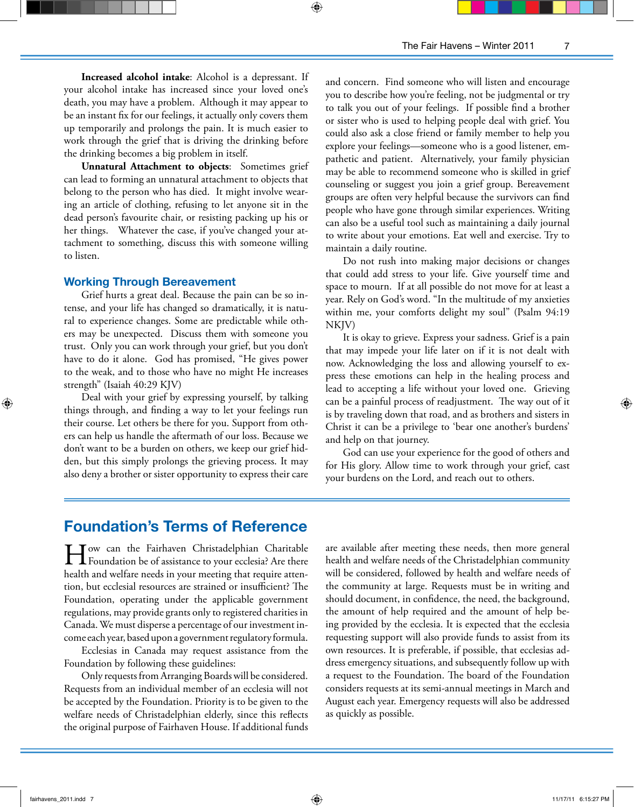**Increased alcohol intake**: Alcohol is a depressant. If your alcohol intake has increased since your loved one's death, you may have a problem. Although it may appear to be an instant fix for our feelings, it actually only covers them up temporarily and prolongs the pain. It is much easier to work through the grief that is driving the drinking before the drinking becomes a big problem in itself.

**Unnatural Attachment to objects**: Sometimes grief can lead to forming an unnatural attachment to objects that belong to the person who has died. It might involve wearing an article of clothing, refusing to let anyone sit in the dead person's favourite chair, or resisting packing up his or her things. Whatever the case, if you've changed your attachment to something, discuss this with someone willing to listen.

#### **Working Through Bereavement**

Grief hurts a great deal. Because the pain can be so intense, and your life has changed so dramatically, it is natural to experience changes. Some are predictable while others may be unexpected. Discuss them with someone you trust. Only you can work through your grief, but you don't have to do it alone. God has promised, "He gives power to the weak, and to those who have no might He increases strength" (Isaiah 40:29 KJV)

Deal with your grief by expressing yourself, by talking things through, and finding a way to let your feelings run their course. Let others be there for you. Support from others can help us handle the aftermath of our loss. Because we don't want to be a burden on others, we keep our grief hidden, but this simply prolongs the grieving process. It may also deny a brother or sister opportunity to express their care

and concern. Find someone who will listen and encourage you to describe how you're feeling, not be judgmental or try to talk you out of your feelings. If possible find a brother or sister who is used to helping people deal with grief. You could also ask a close friend or family member to help you explore your feelings—someone who is a good listener, empathetic and patient. Alternatively, your family physician may be able to recommend someone who is skilled in grief counseling or suggest you join a grief group. Bereavement groups are often very helpful because the survivors can find people who have gone through similar experiences. Writing can also be a useful tool such as maintaining a daily journal to write about your emotions. Eat well and exercise. Try to maintain a daily routine.

Do not rush into making major decisions or changes that could add stress to your life. Give yourself time and space to mourn. If at all possible do not move for at least a year. Rely on God's word. "In the multitude of my anxieties within me, your comforts delight my soul" (Psalm 94:19 NKJV)

It is okay to grieve. Express your sadness. Grief is a pain that may impede your life later on if it is not dealt with now. Acknowledging the loss and allowing yourself to express these emotions can help in the healing process and lead to accepting a life without your loved one. Grieving can be a painful process of readjustment. The way out of it is by traveling down that road, and as brothers and sisters in Christ it can be a privilege to 'bear one another's burdens' and help on that journey.

God can use your experience for the good of others and for His glory. Allow time to work through your grief, cast your burdens on the Lord, and reach out to others.

## **Foundation's Terms of Reference**

How can the Fairhaven Christadelphian Charitable<br>Foundation be of assistance to your ecclesia? Are there health and welfare needs in your meeting that require attention, but ecclesial resources are strained or insufficient? The Foundation, operating under the applicable government regulations, may provide grants only to registered charities in Canada. We must disperse a percentage of our investment income each year, based upon a government regulatory formula.

Ecclesias in Canada may request assistance from the Foundation by following these guidelines:

Only requests from Arranging Boards will be considered. Requests from an individual member of an ecclesia will not be accepted by the Foundation. Priority is to be given to the welfare needs of Christadelphian elderly, since this reflects the original purpose of Fairhaven House. If additional funds

are available after meeting these needs, then more general health and welfare needs of the Christadelphian community will be considered, followed by health and welfare needs of the community at large. Requests must be in writing and should document, in confidence, the need, the background, the amount of help required and the amount of help being provided by the ecclesia. It is expected that the ecclesia requesting support will also provide funds to assist from its own resources. It is preferable, if possible, that ecclesias address emergency situations, and subsequently follow up with a request to the Foundation. The board of the Foundation considers requests at its semi-annual meetings in March and August each year. Emergency requests will also be addressed as quickly as possible.

⊕